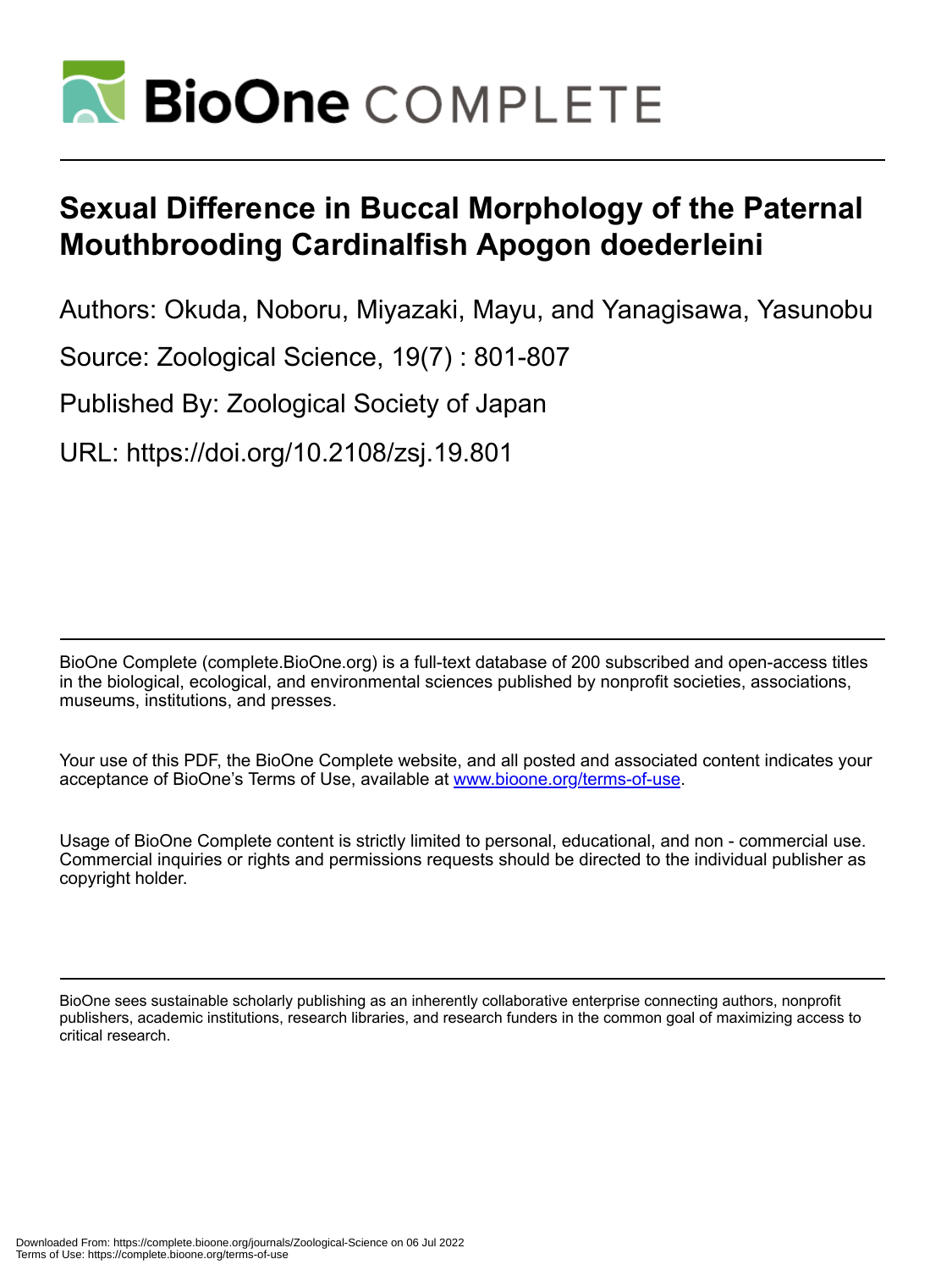

# **Sexual Difference in Buccal Morphology of the Paternal Mouthbrooding Cardinalfish Apogon doederleini**

Authors: Okuda, Noboru, Miyazaki, Mayu, and Yanagisawa, Yasunobu

Source: Zoological Science, 19(7) : 801-807

Published By: Zoological Society of Japan

URL: https://doi.org/10.2108/zsj.19.801

BioOne Complete (complete.BioOne.org) is a full-text database of 200 subscribed and open-access titles in the biological, ecological, and environmental sciences published by nonprofit societies, associations, museums, institutions, and presses.

Your use of this PDF, the BioOne Complete website, and all posted and associated content indicates your acceptance of BioOne's Terms of Use, available at www.bioone.org/terms-of-use.

Usage of BioOne Complete content is strictly limited to personal, educational, and non - commercial use. Commercial inquiries or rights and permissions requests should be directed to the individual publisher as copyright holder.

BioOne sees sustainable scholarly publishing as an inherently collaborative enterprise connecting authors, nonprofit publishers, academic institutions, research libraries, and research funders in the common goal of maximizing access to critical research.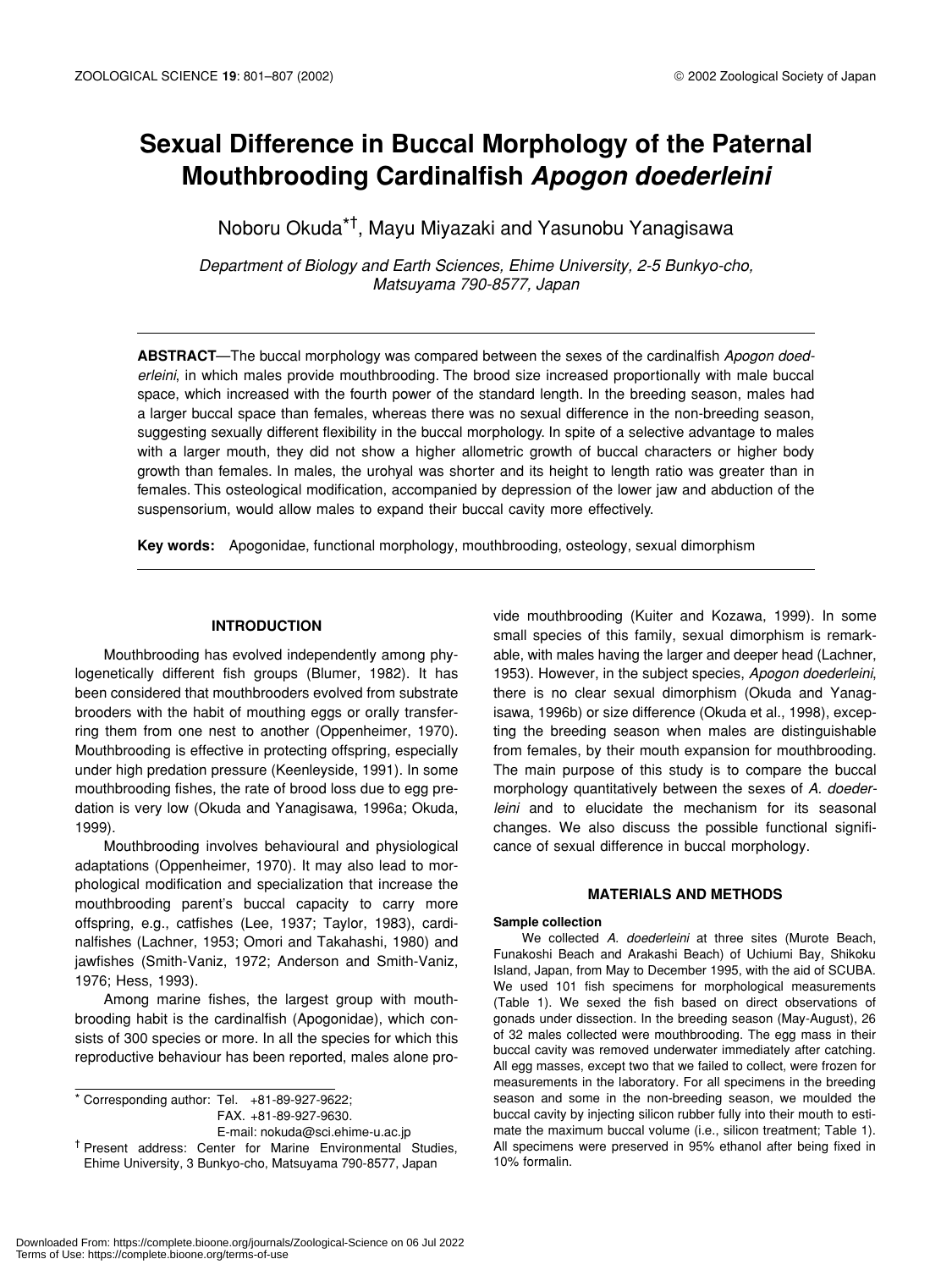# **Sexual Difference in Buccal Morphology of the Paternal Mouthbrooding Cardinalfish** *Apogon doederleini*

Noboru Okuda\*† , Mayu Miyazaki and Yasunobu Yanagisawa

*Department of Biology and Earth Sciences, Ehime University, 2-5 Bunkyo-cho, Matsuyama 790-8577, Japan*

**ABSTRACT**—The buccal morphology was compared between the sexes of the cardinalfish *Apogon doederleini*, in which males provide mouthbrooding. The brood size increased proportionally with male buccal space, which increased with the fourth power of the standard length. In the breeding season, males had a larger buccal space than females, whereas there was no sexual difference in the non-breeding season, suggesting sexually different flexibility in the buccal morphology. In spite of a selective advantage to males with a larger mouth, they did not show a higher allometric growth of buccal characters or higher body growth than females. In males, the urohyal was shorter and its height to length ratio was greater than in females. This osteological modification, accompanied by depression of the lower jaw and abduction of the suspensorium, would allow males to expand their buccal cavity more effectively.

**Key words:** Apogonidae, functional morphology, mouthbrooding, osteology, sexual dimorphism

#### **INTRODUCTION**

Mouthbrooding has evolved independently among phylogenetically different fish groups (Blumer, 1982). It has been considered that mouthbrooders evolved from substrate brooders with the habit of mouthing eggs or orally transferring them from one nest to another (Oppenheimer, 1970). Mouthbrooding is effective in protecting offspring, especially under high predation pressure (Keenleyside, 1991). In some mouthbrooding fishes, the rate of brood loss due to egg predation is very low (Okuda and Yanagisawa, 1996a; Okuda, 1999).

Mouthbrooding involves behavioural and physiological adaptations (Oppenheimer, 1970). It may also lead to morphological modification and specialization that increase the mouthbrooding parent's buccal capacity to carry more offspring, e.g., catfishes (Lee, 1937; Taylor, 1983), cardinalfishes (Lachner, 1953; Omori and Takahashi, 1980) and jawfishes (Smith-Vaniz, 1972; Anderson and Smith-Vaniz, 1976; Hess, 1993).

Among marine fishes, the largest group with mouthbrooding habit is the cardinalfish (Apogonidae), which consists of 300 species or more. In all the species for which this reproductive behaviour has been reported, males alone pro-

 $\overline{\phantom{1}}$  Corresponding author: Tel.  $+81-89-927-9622$ ; FAX. +81-89-927-9630. E-mail: nokuda@sci.ehime-u.ac.jp

<sup>†</sup> Present address: Center for Marine Environmental Studies. Ehime University, 3 Bunkyo-cho, Matsuyama 790-8577, Japan

vide mouthbrooding (Kuiter and Kozawa, 1999). In some small species of this family, sexual dimorphism is remarkable, with males having the larger and deeper head (Lachner, 1953). However, in the subject species, *Apogon doederleini*, there is no clear sexual dimorphism (Okuda and Yanagisawa, 1996b) or size difference (Okuda et al., 1998), excepting the breeding season when males are distinguishable from females, by their mouth expansion for mouthbrooding. The main purpose of this study is to compare the buccal morphology quantitatively between the sexes of *A. doederleini* and to elucidate the mechanism for its seasonal changes. We also discuss the possible functional significance of sexual difference in buccal morphology.

#### **MATERIALS AND METHODS**

#### **Sample collection**

We collected *A. doederleini* at three sites (Murote Beach, Funakoshi Beach and Arakashi Beach) of Uchiumi Bay, Shikoku Island, Japan, from May to December 1995, with the aid of SCUBA. We used 101 fish specimens for morphological measurements (Table 1). We sexed the fish based on direct observations of gonads under dissection. In the breeding season (May-August), 26 of 32 males collected were mouthbrooding. The egg mass in their buccal cavity was removed underwater immediately after catching. All egg masses, except two that we failed to collect, were frozen for measurements in the laboratory. For all specimens in the breeding season and some in the non-breeding season, we moulded the buccal cavity by injecting silicon rubber fully into their mouth to estimate the maximum buccal volume (i.e., silicon treatment; Table 1). All specimens were preserved in 95% ethanol after being fixed in 10% formalin.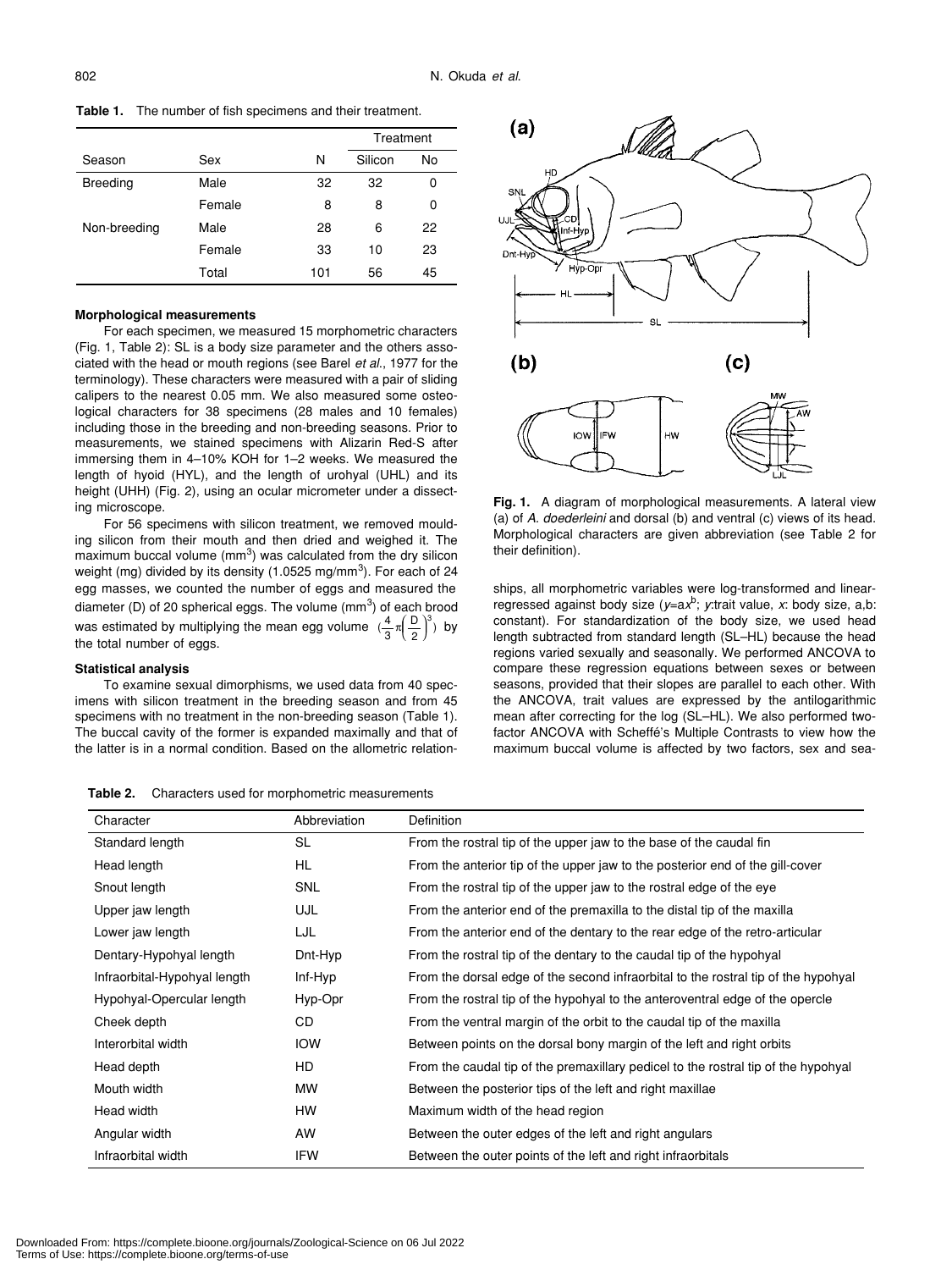|                 |        |     | Treatment |    |
|-----------------|--------|-----|-----------|----|
| Season          | Sex    | N   | Silicon   | No |
| <b>Breeding</b> | Male   | 32  | 32        | 0  |
|                 | Female | 8   | 8         | 0  |
| Non-breeding    | Male   | 28  | 6         | 22 |
|                 | Female | 33  | 10        | 23 |
|                 | Total  | 101 | 56        | 45 |

#### **Morphological measurements**

For each specimen, we measured 15 morphometric characters (Fig. 1, Table 2): SL is a body size parameter and the others associated with the head or mouth regions (see Barel *et al*., 1977 for the terminology). These characters were measured with a pair of sliding calipers to the nearest 0.05 mm. We also measured some osteological characters for 38 specimens (28 males and 10 females) including those in the breeding and non-breeding seasons. Prior to measurements, we stained specimens with Alizarin Red-S after immersing them in 4–10% KOH for 1–2 weeks. We measured the length of hyoid (HYL), and the length of urohyal (UHL) and its height (UHH) (Fig. 2), using an ocular micrometer under a dissecting microscope.

For 56 specimens with silicon treatment, we removed moulding silicon from their mouth and then dried and weighed it. The maximum buccal volume  $\text{(mm}^3)$  was calculated from the dry silicon weight (mg) divided by its density (1.0525 mg/mm<sup>3</sup>). For each of 24 egg masses, we counted the number of eggs and measured the diameter (D) of 20 spherical eggs. The volume  $\text{(mm}^3\text{)}$  of each brood was estimated by multiplying the mean egg volume  $(\frac{4}{3}\pi(\frac{D}{2})^3)$  by the total number of eggs.  $\pi\left(\frac{D}{2}\right)^3$ 

#### **Statistical analysis**

To examine sexual dimorphisms, we used data from 40 specimens with silicon treatment in the breeding season and from 45 specimens with no treatment in the non-breeding season (Table 1). The buccal cavity of the former is expanded maximally and that of the latter is in a normal condition. Based on the allometric relation-

**Table 2.** Characters used for morphometric measurements



**Fig. 1.** A diagram of morphological measurements. A lateral view (a) of *A. doederleini* and dorsal (b) and ventral (c) views of its head. Morphological characters are given abbreviation (see Table 2 for their definition).

ships, all morphometric variables were log-transformed and linearregressed against body size (*y*=a*x*<sup>b</sup> ; *y*:trait value, *x*: body size, a,b: constant). For standardization of the body size, we used head length subtracted from standard length (SL–HL) because the head regions varied sexually and seasonally. We performed ANCOVA to compare these regression equations between sexes or between seasons, provided that their slopes are parallel to each other. With the ANCOVA, trait values are expressed by the antilogarithmic mean after correcting for the log (SL–HL). We also performed twofactor ANCOVA with Scheffé's Multiple Contrasts to view how the maximum buccal volume is affected by two factors, sex and sea-

| Character                    | Abbreviation | <b>Definition</b>                                                                  |
|------------------------------|--------------|------------------------------------------------------------------------------------|
| Standard length              | <b>SL</b>    | From the rostral tip of the upper jaw to the base of the caudal fin                |
| Head length                  | HL           | From the anterior tip of the upper jaw to the posterior end of the gill-cover      |
| Snout length                 | SNL          | From the rostral tip of the upper jaw to the rostral edge of the eye               |
| Upper jaw length             | UJL          | From the anterior end of the premaxilla to the distal tip of the maxilla           |
| Lower jaw length             | LJL          | From the anterior end of the dentary to the rear edge of the retro-articular       |
| Dentary-Hypohyal length      | Dnt-Hyp      | From the rostral tip of the dentary to the caudal tip of the hypohyal              |
| Infraorbital-Hypohyal length | $Inf-Hyp$    | From the dorsal edge of the second infraorbital to the rostral tip of the hypohyal |
| Hypohyal-Opercular length    | Hyp-Opr      | From the rostral tip of the hypohyal to the anteroventral edge of the opercle      |
| Cheek depth                  | CD           | From the ventral margin of the orbit to the caudal tip of the maxilla              |
| Interorbital width           | <b>IOW</b>   | Between points on the dorsal bony margin of the left and right orbits              |
| Head depth                   | HD           | From the caudal tip of the premaxillary pedicel to the rostral tip of the hypohyal |
| Mouth width                  | <b>MW</b>    | Between the posterior tips of the left and right maxillae                          |
| Head width                   | <b>HW</b>    | Maximum width of the head region                                                   |
| Angular width                | AW           | Between the outer edges of the left and right angulars                             |
| Infraorbital width           | <b>IFW</b>   | Between the outer points of the left and right infraorbitals                       |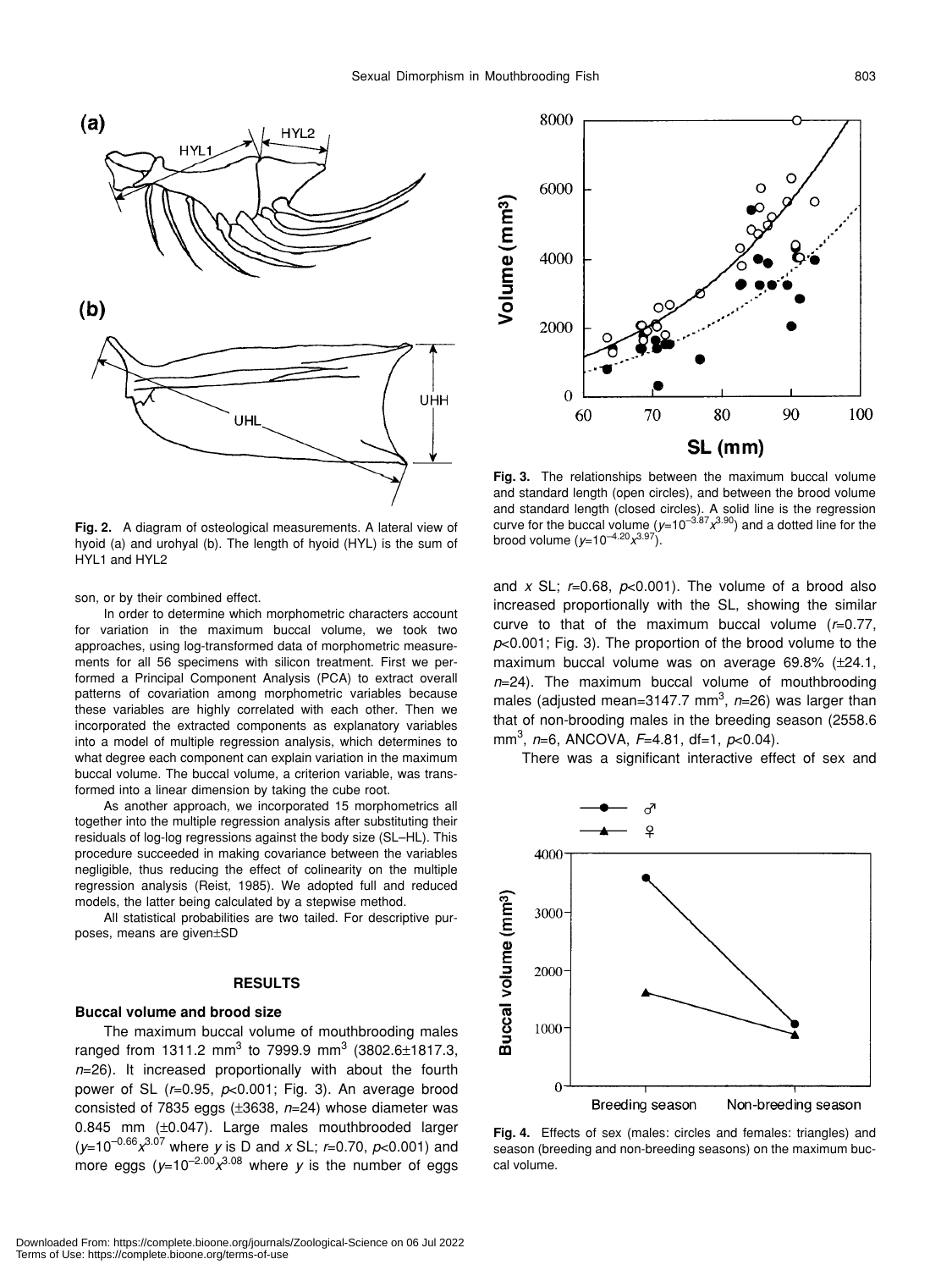

**Fig. 2.** A diagram of osteological measurements. A lateral view of hyoid (a) and urohyal (b). The length of hyoid (HYL) is the sum of HYL1 and HYL2

son, or by their combined effect.

In order to determine which morphometric characters account for variation in the maximum buccal volume, we took two approaches, using log-transformed data of morphometric measurements for all 56 specimens with silicon treatment. First we performed a Principal Component Analysis (PCA) to extract overall patterns of covariation among morphometric variables because these variables are highly correlated with each other. Then we incorporated the extracted components as explanatory variables into a model of multiple regression analysis, which determines to what degree each component can explain variation in the maximum buccal volume. The buccal volume, a criterion variable, was transformed into a linear dimension by taking the cube root.

As another approach, we incorporated 15 morphometrics all together into the multiple regression analysis after substituting their residuals of log-log regressions against the body size (SL–HL). This procedure succeeded in making covariance between the variables negligible, thus reducing the effect of colinearity on the multiple regression analysis (Reist, 1985). We adopted full and reduced models, the latter being calculated by a stepwise method.

All statistical probabilities are two tailed. For descriptive purposes, means are given±SD

# **RESULTS**

## **Buccal volume and brood size**

The maximum buccal volume of mouthbrooding males ranged from 1311.2 mm<sup>3</sup> to 7999.9 mm<sup>3</sup> (3802.6±1817.3, *n*=26). It increased proportionally with about the fourth power of SL (*r*=0.95, *p*<0.001; Fig. 3). An average brood consisted of 7835 eggs (±3638, *n*=24) whose diameter was 0.845 mm (±0.047). Large males mouthbrooded larger (*y*=10–0.66*x*3.07 where *y* is D and *x* SL; *r*=0.70, *p*<0.001) and more eggs  $(y=10^{-2.00}x^{3.08}$  where *y* is the number of eggs



**Fig. 3.** The relationships between the maximum buccal volume and standard length (open circles), and between the brood volume and standard length (closed circles). A solid line is the regression curve for the buccal volume  $(y=10^{-3.87}x^{3.90})$  and a dotted line for the brood volume (*y*=10–4.20*x*3.97).

and *x* SL; *r*=0.68, *p*<0.001). The volume of a brood also increased proportionally with the SL, showing the similar curve to that of the maximum buccal volume (*r*=0.77, *p*<0.001; Fig. 3). The proportion of the brood volume to the maximum buccal volume was on average 69.8% (±24.1, *n*=24). The maximum buccal volume of mouthbrooding males (adjusted mean=3147.7 mm<sup>3</sup>, n=26) was larger than that of non-brooding males in the breeding season (2558.6 mm3 , *n*=6, ANCOVA, *F*=4.81, df=1, *p*<0.04).

There was a significant interactive effect of sex and



**Fig. 4.** Effects of sex (males: circles and females: triangles) and season (breeding and non-breeding seasons) on the maximum buccal volume.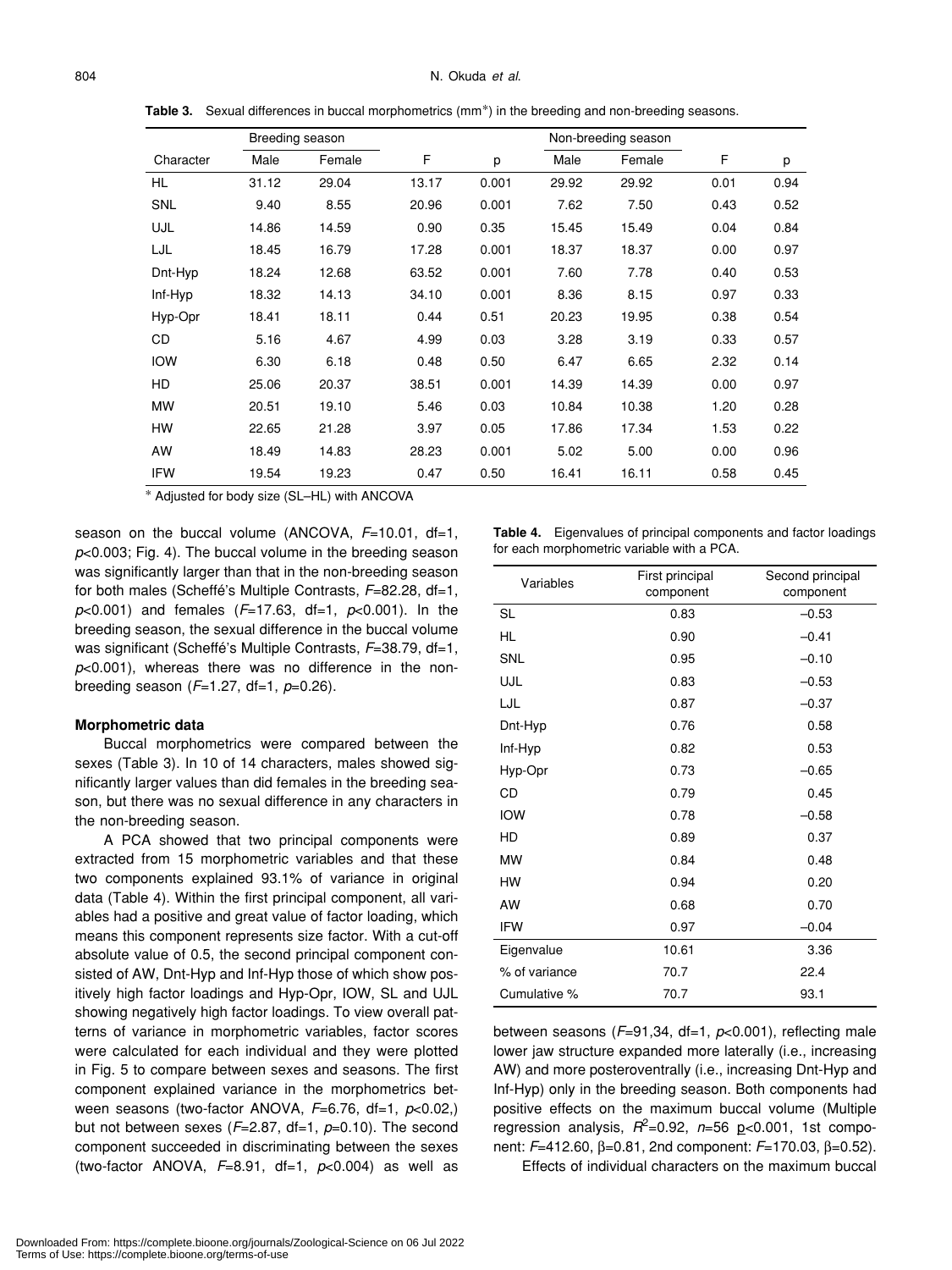|            | Breeding season |        |       |       | Non-breeding season |        |      |      |
|------------|-----------------|--------|-------|-------|---------------------|--------|------|------|
| Character  | Male            | Female | F     | p     | Male                | Female | F    | р    |
| HL         | 31.12           | 29.04  | 13.17 | 0.001 | 29.92               | 29.92  | 0.01 | 0.94 |
| <b>SNL</b> | 9.40            | 8.55   | 20.96 | 0.001 | 7.62                | 7.50   | 0.43 | 0.52 |
| UJL        | 14.86           | 14.59  | 0.90  | 0.35  | 15.45               | 15.49  | 0.04 | 0.84 |
| LJL        | 18.45           | 16.79  | 17.28 | 0.001 | 18.37               | 18.37  | 0.00 | 0.97 |
| Dnt-Hyp    | 18.24           | 12.68  | 63.52 | 0.001 | 7.60                | 7.78   | 0.40 | 0.53 |
| Inf-Hyp    | 18.32           | 14.13  | 34.10 | 0.001 | 8.36                | 8.15   | 0.97 | 0.33 |
| Hyp-Opr    | 18.41           | 18.11  | 0.44  | 0.51  | 20.23               | 19.95  | 0.38 | 0.54 |
| CD         | 5.16            | 4.67   | 4.99  | 0.03  | 3.28                | 3.19   | 0.33 | 0.57 |
| <b>IOW</b> | 6.30            | 6.18   | 0.48  | 0.50  | 6.47                | 6.65   | 2.32 | 0.14 |
| HD         | 25.06           | 20.37  | 38.51 | 0.001 | 14.39               | 14.39  | 0.00 | 0.97 |
| <b>MW</b>  | 20.51           | 19.10  | 5.46  | 0.03  | 10.84               | 10.38  | 1.20 | 0.28 |
| <b>HW</b>  | 22.65           | 21.28  | 3.97  | 0.05  | 17.86               | 17.34  | 1.53 | 0.22 |
| AW         | 18.49           | 14.83  | 28.23 | 0.001 | 5.02                | 5.00   | 0.00 | 0.96 |
| <b>IFW</b> | 19.54           | 19.23  | 0.47  | 0.50  | 16.41               | 16.11  | 0.58 | 0.45 |

**Table 3.** Sexual differences in buccal morphometrics (mm\*) in the breeding and non-breeding seasons.

\* Adjusted for body size (SL–HL) with ANCOVA

season on the buccal volume (ANCOVA, *F*=10.01, df=1, *p*<0.003; Fig. 4). The buccal volume in the breeding season was significantly larger than that in the non-breeding season for both males (Scheffé's Multiple Contrasts, *F*=82.28, df=1, *p*<0.001) and females (*F*=17.63, df=1, *p*<0.001). In the breeding season, the sexual difference in the buccal volume was significant (Scheffé's Multiple Contrasts, *F*=38.79, df=1, *p*<0.001), whereas there was no difference in the nonbreeding season (*F*=1.27, df=1, *p*=0.26).

### **Morphometric data**

Buccal morphometrics were compared between the sexes (Table 3). In 10 of 14 characters, males showed significantly larger values than did females in the breeding season, but there was no sexual difference in any characters in the non-breeding season.

A PCA showed that two principal components were extracted from 15 morphometric variables and that these two components explained 93.1% of variance in original data (Table 4). Within the first principal component, all variables had a positive and great value of factor loading, which means this component represents size factor. With a cut-off absolute value of 0.5, the second principal component consisted of AW, Dnt-Hyp and Inf-Hyp those of which show positively high factor loadings and Hyp-Opr, IOW, SL and UJL showing negatively high factor loadings. To view overall patterns of variance in morphometric variables, factor scores were calculated for each individual and they were plotted in Fig. 5 to compare between sexes and seasons. The first component explained variance in the morphometrics between seasons (two-factor ANOVA, *F*=6.76, df=1, *p*<0.02,) but not between sexes (*F*=2.87, df=1, *p*=0.10). The second component succeeded in discriminating between the sexes (two-factor ANOVA, *F*=8.91, df=1, *p*<0.004) as well as

**Table 4.** Eigenvalues of principal components and factor loadings for each morphometric variable with a PCA.

| Variables     | First principal<br>component | Second principal<br>component |  |
|---------------|------------------------------|-------------------------------|--|
| SL            | 0.83                         | $-0.53$                       |  |
| HL.           | 0.90                         | $-0.41$                       |  |
| <b>SNL</b>    | 0.95                         | $-0.10$                       |  |
| UJL           | 0.83                         | $-0.53$                       |  |
| LJL           | 0.87                         | $-0.37$                       |  |
| Dnt-Hyp       | 0.76                         | 0.58                          |  |
| Inf-Hyp       | 0.82                         | 0.53                          |  |
| Hyp-Opr       | 0.73                         | $-0.65$                       |  |
| CD            | 0.79                         | 0.45                          |  |
| <b>IOW</b>    | 0.78                         | $-0.58$                       |  |
| HD            | 0.89                         | 0.37                          |  |
| <b>MW</b>     | 0.84                         | 0.48                          |  |
| <b>HW</b>     | 0.94                         | 0.20                          |  |
| AW            | 0.68                         | 0.70                          |  |
| <b>IFW</b>    | 0.97                         | $-0.04$                       |  |
| Eigenvalue    | 10.61                        | 3.36                          |  |
| % of variance | 70.7                         | 22.4                          |  |
| Cumulative %  | 70.7                         | 93.1                          |  |

between seasons (*F*=91,34, df=1, *p*<0.001), reflecting male lower jaw structure expanded more laterally (i.e., increasing AW) and more posteroventrally (i.e., increasing Dnt-Hyp and Inf-Hyp) only in the breeding season. Both components had positive effects on the maximum buccal volume (Multiple regression analysis,  $R^2$ =0.92, n=56 p<0.001, 1st component: *F*=412.60, β=0.81, 2nd component: *F*=170.03, β=0.52).

Effects of individual characters on the maximum buccal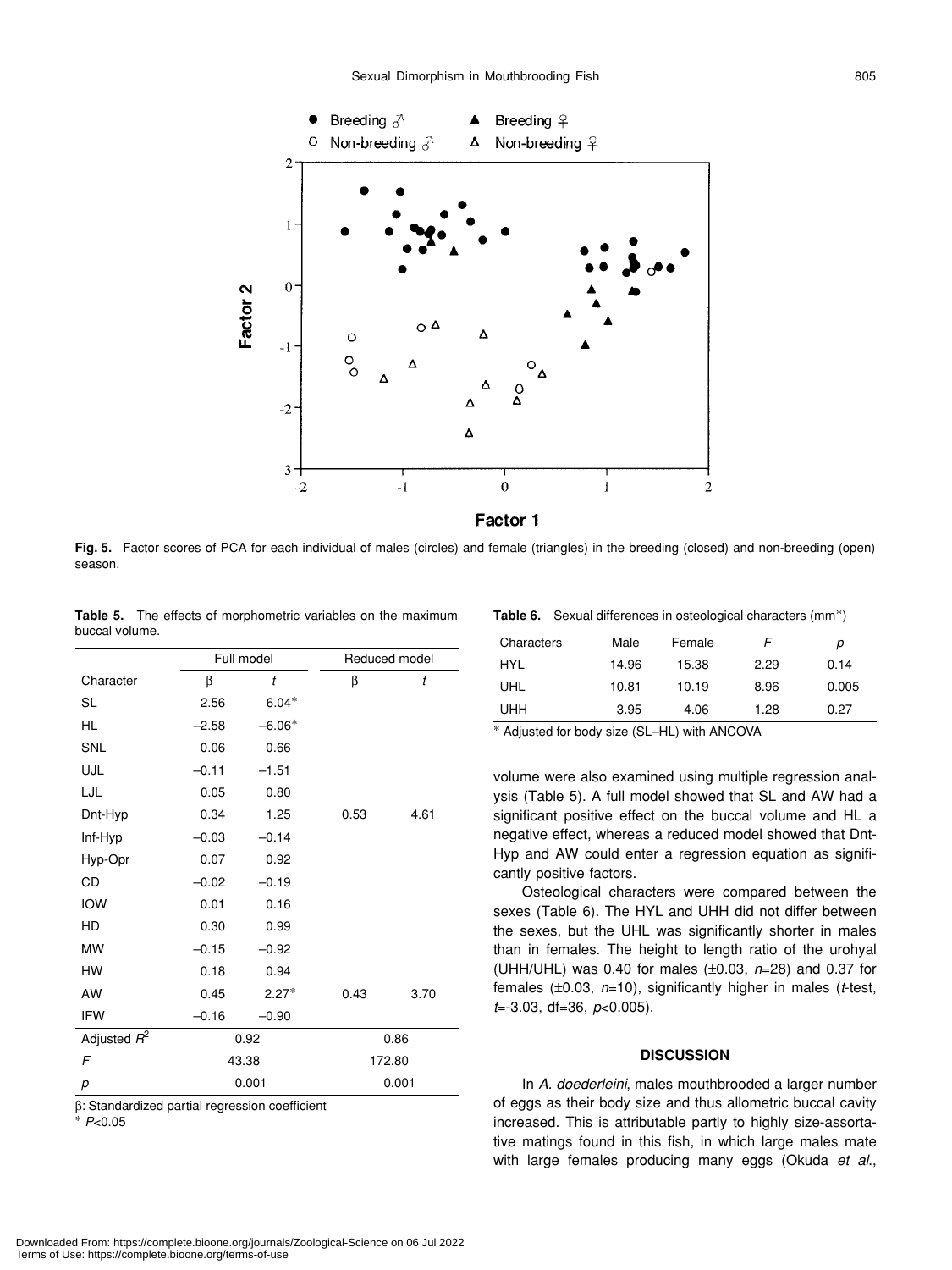

Fig. 5. Factor scores of PCA for each individual of males (circles) and female (triangles) in the breeding (closed) and non-breeding (open) season.

**Table 5.** The effects of morphometric variables on the maximum buccal volume.

|                |         | Full model | Reduced model |      |  |
|----------------|---------|------------|---------------|------|--|
| Character      | β       | t          | β             | t    |  |
| <b>SL</b>      | 2.56    | $6.04*$    |               |      |  |
| HL.            | $-2.58$ | $-6.06*$   |               |      |  |
| SNL            | 0.06    | 0.66       |               |      |  |
| UJL            | $-0.11$ | $-1.51$    |               |      |  |
| LJL            | 0.05    | 0.80       |               |      |  |
| Dnt-Hyp        | 0.34    | 1.25       | 0.53          | 4.61 |  |
| Inf-Hyp        | $-0.03$ | $-0.14$    |               |      |  |
| Hyp-Opr        | 0.07    | 0.92       |               |      |  |
| CD             | $-0.02$ | $-0.19$    |               |      |  |
| <b>IOW</b>     | 0.01    | 0.16       |               |      |  |
| HD             | 0.30    | 0.99       |               |      |  |
| <b>MW</b>      | $-0.15$ | $-0.92$    |               |      |  |
| <b>HW</b>      | 0.18    | 0.94       |               |      |  |
| AW             | 0.45    | $2.27*$    | 0.43          | 3.70 |  |
| <b>IFW</b>     | $-0.16$ | $-0.90$    |               |      |  |
| Adjusted $R^2$ |         | 0.92       | 0.86          |      |  |
| F              | 43.38   |            | 172.80        |      |  |
| р              |         | 0.001      | 0.001         |      |  |

β: Standardized partial regression coefficient

\* *P*<0.05

**Table 6.** Sexual differences in osteological characters (mm\*)

| Characters | Male  | Female |      | р     |
|------------|-------|--------|------|-------|
| HYL        | 14.96 | 15.38  | 2.29 | 0.14  |
| UHL        | 10.81 | 10.19  | 8.96 | 0.005 |
| UHH.       | 3.95  | 4.06   | 1.28 | 0.27  |

\* Adjusted for body size (SL–HL) with ANCOVA

volume were also examined using multiple regression analysis (Table 5). A full model showed that SL and AW had a significant positive effect on the buccal volume and HL a negative effect, whereas a reduced model showed that Dnt-Hyp and AW could enter a regression equation as significantly positive factors.

Osteological characters were compared between the sexes (Table 6). The HYL and UHH did not differ between the sexes, but the UHL was significantly shorter in males than in females. The height to length ratio of the urohyal (UHH/UHL) was 0.40 for males (±0.03, *n*=28) and 0.37 for females (±0.03, *n*=10), significantly higher in males (*t*-test, *t*=-3.03, df=36, *p*<0.005).

#### **DISCUSSION**

In *A. doederleini*, males mouthbrooded a larger number of eggs as their body size and thus allometric buccal cavity increased. This is attributable partly to highly size-assortative matings found in this fish, in which large males mate with large females producing many eggs (Okuda *et al*.,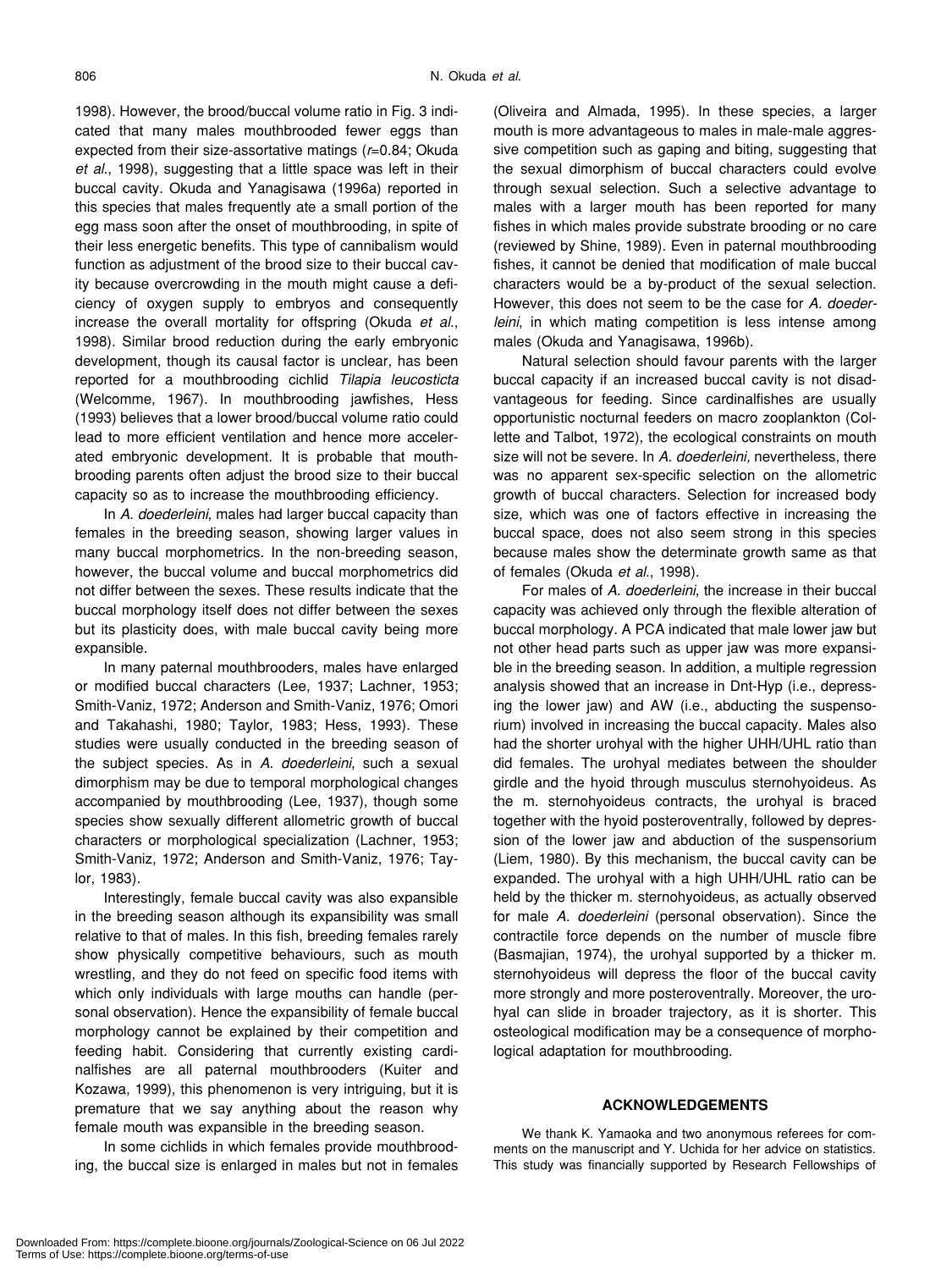1998). However, the brood/buccal volume ratio in Fig. 3 indicated that many males mouthbrooded fewer eggs than expected from their size-assortative matings (*r*=0.84; Okuda *et al*., 1998), suggesting that a little space was left in their buccal cavity. Okuda and Yanagisawa (1996a) reported in this species that males frequently ate a small portion of the egg mass soon after the onset of mouthbrooding, in spite of their less energetic benefits. This type of cannibalism would function as adjustment of the brood size to their buccal cavity because overcrowding in the mouth might cause a deficiency of oxygen supply to embryos and consequently increase the overall mortality for offspring (Okuda *et al*., 1998). Similar brood reduction during the early embryonic development, though its causal factor is unclear, has been reported for a mouthbrooding cichlid *Tilapia leucosticta* (Welcomme, 1967). In mouthbrooding jawfishes, Hess (1993) believes that a lower brood/buccal volume ratio could lead to more efficient ventilation and hence more accelerated embryonic development. It is probable that mouthbrooding parents often adjust the brood size to their buccal capacity so as to increase the mouthbrooding efficiency.

In *A. doederleini*, males had larger buccal capacity than females in the breeding season, showing larger values in many buccal morphometrics. In the non-breeding season, however, the buccal volume and buccal morphometrics did not differ between the sexes. These results indicate that the buccal morphology itself does not differ between the sexes but its plasticity does, with male buccal cavity being more expansible.

In many paternal mouthbrooders, males have enlarged or modified buccal characters (Lee, 1937; Lachner, 1953; Smith-Vaniz, 1972; Anderson and Smith-Vaniz, 1976; Omori and Takahashi, 1980; Taylor, 1983; Hess, 1993). These studies were usually conducted in the breeding season of the subject species. As in *A. doederleini*, such a sexual dimorphism may be due to temporal morphological changes accompanied by mouthbrooding (Lee, 1937), though some species show sexually different allometric growth of buccal characters or morphological specialization (Lachner, 1953; Smith-Vaniz, 1972; Anderson and Smith-Vaniz, 1976; Taylor, 1983).

Interestingly, female buccal cavity was also expansible in the breeding season although its expansibility was small relative to that of males. In this fish, breeding females rarely show physically competitive behaviours, such as mouth wrestling, and they do not feed on specific food items with which only individuals with large mouths can handle (personal observation). Hence the expansibility of female buccal morphology cannot be explained by their competition and feeding habit. Considering that currently existing cardinalfishes are all paternal mouthbrooders (Kuiter and Kozawa, 1999), this phenomenon is very intriguing, but it is premature that we say anything about the reason why female mouth was expansible in the breeding season.

In some cichlids in which females provide mouthbrooding, the buccal size is enlarged in males but not in females (Oliveira and Almada, 1995). In these species, a larger mouth is more advantageous to males in male-male aggressive competition such as gaping and biting, suggesting that the sexual dimorphism of buccal characters could evolve through sexual selection. Such a selective advantage to males with a larger mouth has been reported for many fishes in which males provide substrate brooding or no care (reviewed by Shine, 1989). Even in paternal mouthbrooding fishes, it cannot be denied that modification of male buccal characters would be a by-product of the sexual selection. However, this does not seem to be the case for *A. doederleini*, in which mating competition is less intense among males (Okuda and Yanagisawa, 1996b).

Natural selection should favour parents with the larger buccal capacity if an increased buccal cavity is not disadvantageous for feeding. Since cardinalfishes are usually opportunistic nocturnal feeders on macro zooplankton (Collette and Talbot, 1972), the ecological constraints on mouth size will not be severe. In *A. doederleini,* nevertheless, there was no apparent sex-specific selection on the allometric growth of buccal characters. Selection for increased body size, which was one of factors effective in increasing the buccal space, does not also seem strong in this species because males show the determinate growth same as that of females (Okuda *et al*., 1998).

For males of *A. doederleini*, the increase in their buccal capacity was achieved only through the flexible alteration of buccal morphology. A PCA indicated that male lower jaw but not other head parts such as upper jaw was more expansible in the breeding season. In addition, a multiple regression analysis showed that an increase in Dnt-Hyp (i.e., depressing the lower jaw) and AW (i.e., abducting the suspensorium) involved in increasing the buccal capacity. Males also had the shorter urohyal with the higher UHH/UHL ratio than did females. The urohyal mediates between the shoulder girdle and the hyoid through musculus sternohyoideus. As the m. sternohyoideus contracts, the urohyal is braced together with the hyoid posteroventrally, followed by depression of the lower jaw and abduction of the suspensorium (Liem, 1980). By this mechanism, the buccal cavity can be expanded. The urohyal with a high UHH/UHL ratio can be held by the thicker m. sternohyoideus, as actually observed for male *A. doederleini* (personal observation). Since the contractile force depends on the number of muscle fibre (Basmajian, 1974), the urohyal supported by a thicker m. sternohyoideus will depress the floor of the buccal cavity more strongly and more posteroventrally. Moreover, the urohyal can slide in broader trajectory, as it is shorter. This osteological modification may be a consequence of morphological adaptation for mouthbrooding.

# **ACKNOWLEDGEMENTS**

We thank K. Yamaoka and two anonymous referees for comments on the manuscript and Y. Uchida for her advice on statistics. This study was financially supported by Research Fellowships of